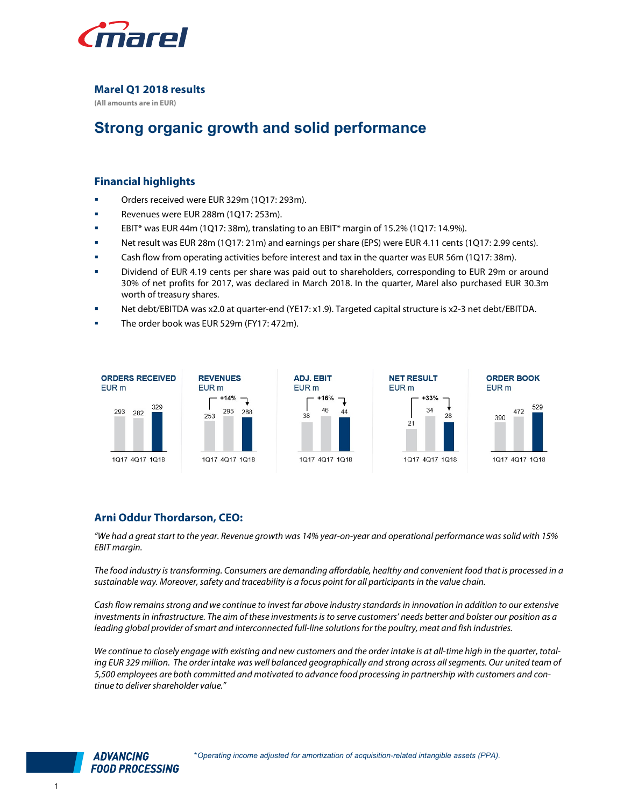

Marel Q1 2018 results

(All amounts are in EUR)

# Strong organic growth and solid performance

# Financial highlights

- **Dream** Orders received were EUR 329m (1Q17: 293m).
- Revenues were EUR 288m (1Q17: 253m).
- EBIT\* was EUR 44m (1Q17: 38m), translating to an EBIT\* margin of 15.2% (1Q17: 14.9%).
- Net result was EUR 28m (1Q17: 21m) and earnings per share (EPS) were EUR 4.11 cents (1Q17: 2.99 cents).
- Cash flow from operating activities before interest and tax in the quarter was EUR 56m (1Q17: 38m).
- Dividend of EUR 4.19 cents per share was paid out to shareholders, corresponding to EUR 29m or around 30% of net profits for 2017, was declared in March 2018. In the quarter, Marel also purchased EUR 30.3m worth of treasury shares.
- Net debt/EBITDA was x2.0 at quarter-end (YE17: x1.9). Targeted capital structure is x2-3 net debt/EBITDA.
- The order book was EUR 529m (FY17: 472m).



# Arni Oddur Thordarson, CEO:

"We had a great start to the year. Revenue growth was 14% year-on-year and operational performance was solid with 15% EBIT margin.

The food industry is transforming. Consumers are demanding affordable, healthy and convenient food that is processed in a sustainable way. Moreover, safety and traceability is a focus point for all participants in the value chain.

Cash flow remains strong and we continue to invest far above industry standards in innovation in addition to our extensive investments in infrastructure. The aim of these investments is to serve customers' needs better and bolster our position as a leading global provider of smart and interconnected full-line solutions for the poultry, meat and fish industries.

We continue to closely engage with existing and new customers and the order intake is at all-time high in the quarter, totaling EUR 329 million. The order intake was well balanced geographically and strong across all segments. Our united team of 5,500 employees are both committed and motivated to advance food processing in partnership with customers and continue to deliver shareholder value."

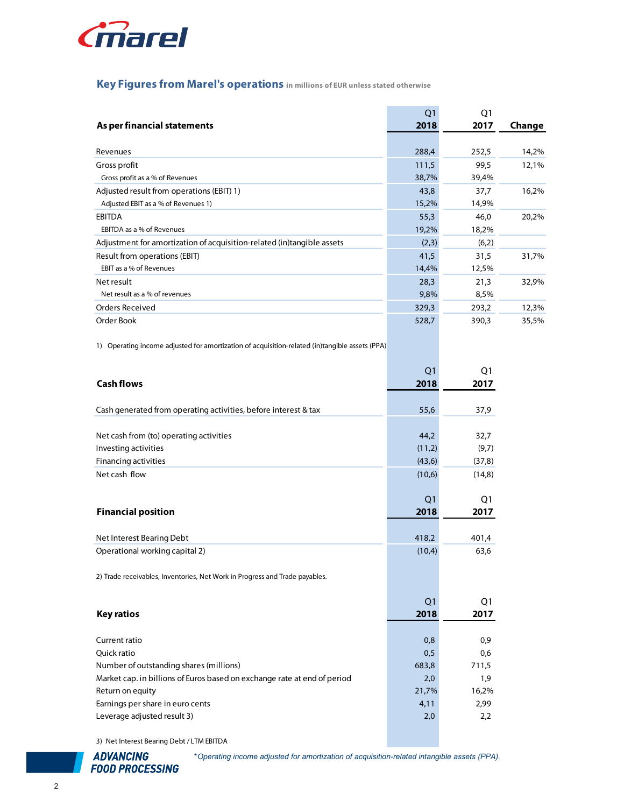

# Key Figures from Marel's operations in millions of EUR unless stated otherwise

| <i>inarel</i>                                                                                  |                |                |        |
|------------------------------------------------------------------------------------------------|----------------|----------------|--------|
| Key Figures from Marel's operations in millions of EUR unless stated otherwise                 |                |                |        |
|                                                                                                | Q <sub>1</sub> | Q <sub>1</sub> |        |
| As per financial statements                                                                    | 2018           | 2017           | Change |
| Revenues                                                                                       | 288,4          | 252,5          | 14,2%  |
| Gross profit                                                                                   | 111,5          | 99,5           | 12,1%  |
| Gross profit as a % of Revenues                                                                | 38,7%          | 39,4%          |        |
| Adjusted result from operations (EBIT) 1)                                                      | 43,8           | 37,7           | 16,2%  |
| Adjusted EBIT as a % of Revenues 1)                                                            | 15,2%          | 14,9%          |        |
| <b>EBITDA</b>                                                                                  | 55,3           | 46,0           | 20,2%  |
| EBITDA as a % of Revenues                                                                      | 19,2%          | 18,2%          |        |
| Adjustment for amortization of acquisition-related (in)tangible assets                         | (2,3)          | (6,2)          |        |
| Result from operations (EBIT)                                                                  | 41,5           | 31,5           | 31,7%  |
| EBIT as a % of Revenues                                                                        | 14,4%          | 12,5%          |        |
| Net result                                                                                     | 28,3           | 21,3           | 32,9%  |
| Net result as a % of revenues                                                                  | 9,8%           | 8,5%           |        |
| Orders Received                                                                                | 329,3          | 293,2          | 12,3%  |
| Order Book                                                                                     | 528,7          | 390,3          | 35,5%  |
| 1) Operating income adjusted for amortization of acquisition-related (in)tangible assets (PPA) |                |                |        |
|                                                                                                | Q <sub>1</sub> | Q <sub>1</sub> |        |
| <b>Cash flows</b>                                                                              | 2018           | 2017           |        |
| Cash generated from operating activities, before interest & tax                                | 55,6           | 37,9           |        |
|                                                                                                |                |                |        |

|                                                                                                | -- - -         | - 11           | $5 - 7$ |
|------------------------------------------------------------------------------------------------|----------------|----------------|---------|
| Net result as a % of revenues                                                                  | 9,8%           | 8,5%           |         |
| Orders Received                                                                                | 329,3          | 293,2          | 12,3%   |
| Order Book                                                                                     | 528,7          | 390,3          | 35,5%   |
|                                                                                                |                |                |         |
| 1) Operating income adjusted for amortization of acquisition-related (in)tangible assets (PPA) |                |                |         |
|                                                                                                |                |                |         |
|                                                                                                | Q <sub>1</sub> | Q <sub>1</sub> |         |
| <b>Cash flows</b>                                                                              | 2018           | 2017           |         |
|                                                                                                |                |                |         |
| Cash generated from operating activities, before interest & tax                                | 55,6           | 37,9           |         |
| Net cash from (to) operating activities                                                        | 44,2           | 32,7           |         |
| Investing activities                                                                           | (11,2)         | (9,7)          |         |
| Financing activities                                                                           | (43, 6)        | (37, 8)        |         |
| Net cash flow                                                                                  | (10,6)         | (14, 8)        |         |
|                                                                                                |                |                |         |
|                                                                                                | Q <sub>1</sub> | Q <sub>1</sub> |         |
| <b>Financial position</b>                                                                      | 2018           | 2017           |         |
|                                                                                                |                |                |         |
| Net Interest Bearing Debt                                                                      | 418,2          | 401,4          |         |
| Operational working capital 2)                                                                 | (10,4)         | 63,6           |         |
|                                                                                                |                |                |         |
| 2) Trade receivables, Inventories, Net Work in Progress and Trade payables.                    |                |                |         |
|                                                                                                |                |                |         |
|                                                                                                | Q <sub>1</sub> | Q <sub>1</sub> |         |
| <b>Key ratios</b>                                                                              | 2018           | 2017           |         |
|                                                                                                |                | 0,9            |         |
| Current ratio<br>Quick ratio                                                                   | 0,8<br>0,5     | 0,6            |         |
| Number of outstanding shares (millions)                                                        | 683,8          | 711,5          |         |
| Market cap. in billions of Euros based on exchange rate at end of period                       | 2,0            | 1,9            |         |
| Return on equity                                                                               | 21,7%          | 16,2%          |         |
| Earnings per share in euro cents                                                               | 4,11           | 2,99           |         |
| Leverage adjusted result 3)                                                                    | 2,0            | 2,2            |         |
|                                                                                                |                |                |         |
| 3) Net Interest Bearing Debt / LTM EBITDA                                                      |                |                |         |
|                                                                                                |                |                |         |



\*Operating income adjusted for amortization of acquisition-related intangible assets (PPA).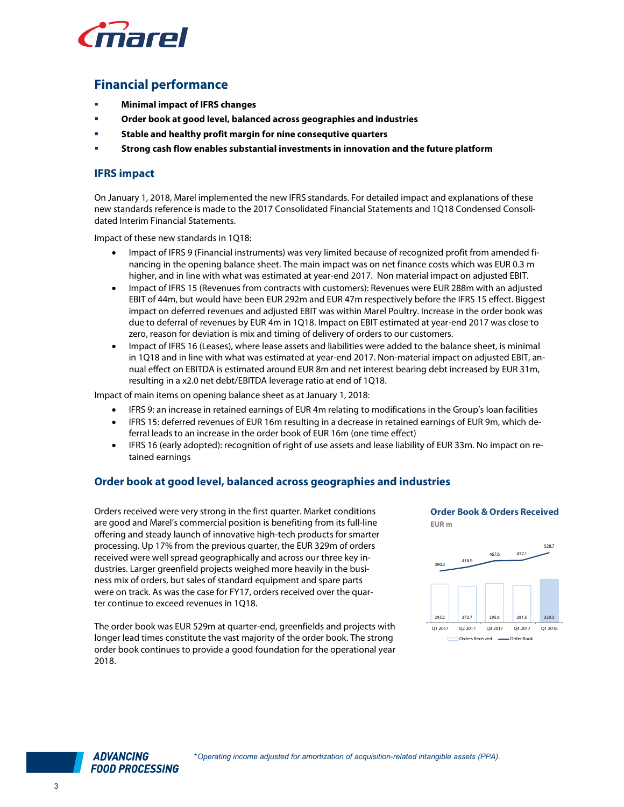

# Financial performance

- Minimal impact of IFRS changes
- Order book at good level, balanced across geographies and industries
- Stable and healthy profit margin for nine consequtive quarters
- Strong cash flow enables substantial investments in innovation and the future platform

#### IFRS impact

On January 1, 2018, Marel implemented the new IFRS standards. For detailed impact and explanations of these new standards reference is made to the 2017 Consolidated Financial Statements and 1Q18 Condensed Consolidated Interim Financial Statements.

Impact of these new standards in 1Q18:

- Impact of IFRS 9 (Financial instruments) was very limited because of recognized profit from amended financing in the opening balance sheet. The main impact was on net finance costs which was EUR 0.3 m higher, and in line with what was estimated at year-end 2017. Non material impact on adjusted EBIT.
- Impact of IFRS 15 (Revenues from contracts with customers): Revenues were EUR 288m with an adjusted EBIT of 44m, but would have been EUR 292m and EUR 47m respectively before the IFRS 15 effect. Biggest impact on deferred revenues and adjusted EBIT was within Marel Poultry. Increase in the order book was due to deferral of revenues by EUR 4m in 1Q18. Impact on EBIT estimated at year-end 2017 was close to zero, reason for deviation is mix and timing of delivery of orders to our customers.
- Impact of IFRS 16 (Leases), where lease assets and liabilities were added to the balance sheet, is minimal in 1Q18 and in line with what was estimated at year-end 2017. Non-material impact on adjusted EBIT, annual effect on EBITDA is estimated around EUR 8m and net interest bearing debt increased by EUR 31m, resulting in a x2.0 net debt/EBITDA leverage ratio at end of 1Q18.

Impact of main items on opening balance sheet as at January 1, 2018:

- IFRS 9: an increase in retained earnings of EUR 4m relating to modifications in the Group's loan facilities
- IFRS 15: deferred revenues of EUR 16m resulting in a decrease in retained earnings of EUR 9m, which deferral leads to an increase in the order book of EUR 16m (one time effect)
- IFRS 16 (early adopted): recognition of right of use assets and lease liability of EUR 33m. No impact on retained earnings

## Order book at good level, balanced across geographies and industries

Orders received were very strong in the first quarter. Market conditions are good and Marel's commercial position is benefiting from its full-line offering and steady launch of innovative high-tech products for smarter processing. Up 17% from the previous quarter, the EUR 329m of orders received were well spread geographically and across our three key industries. Larger greenfield projects weighed more heavily in the business mix of orders, but sales of standard equipment and spare parts were on track. As was the case for FY17, orders received over the quarter continue to exceed revenues in 1Q18.

The order book was EUR 529m at quarter-end, greenfields and projects with longer lead times constitute the vast majority of the order book. The strong order book continues to provide a good foundation for the operational year 2018.

Order Book & Orders Received EUR m



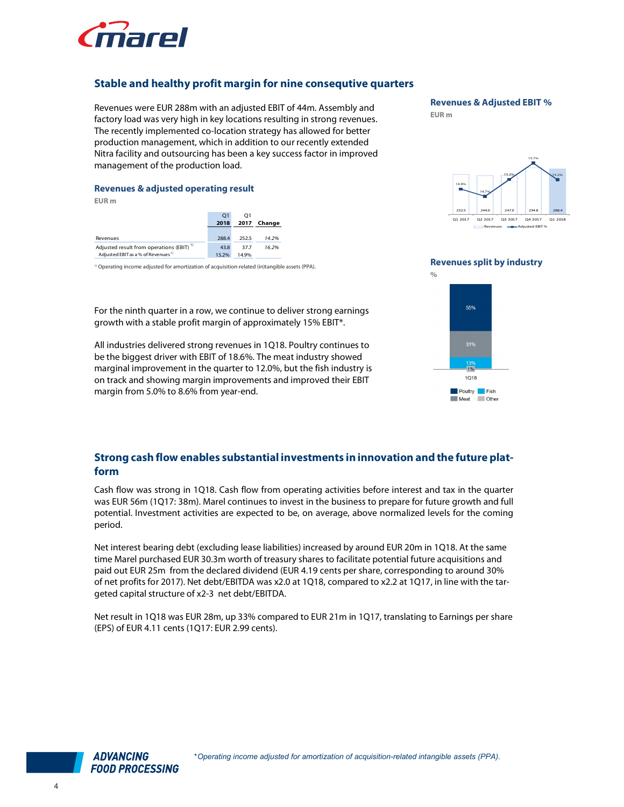

# Stable and healthy profit margin for nine consequtive quarters

Revenues were EUR 288m with an adjusted EBIT of 44m. Assembly and factory load was very high in key locations resulting in strong revenues. The recently implemented co-location strategy has allowed for better production management, which in addition to our recently extended Nitra facility and outsourcing has been a key success factor in improved management of the production load. Revenues were EUR 288m with an adjusted EBIT of 44m. Assembly and<br>actory load was very high in key locations resulting in strong revenues.<br>The recently implemented co-location strategy has allowed for better<br>production ma The recently implemented co-location strategy has allowed for better<br>production management, which in addition to our recently extended<br>Nitra facility and outsourcing has been a key success factor in improved<br>management of

#### Revenues & adjusted operating result

EUR m

|                                                      | 01    | O1    |        |
|------------------------------------------------------|-------|-------|--------|
|                                                      | 2018  | 2017  | Change |
| Revenues                                             | 288.4 | 252.5 | 14.2%  |
| Adjusted result from operations (EBIT) <sup>1)</sup> | 43.8  | 37.7  | 16.2%  |
| Adjusted EBIT as a % of Revenues <sup>1)</sup>       | 15.2% | 14.9% |        |

<sup>1)</sup> Operating income adjusted for amortization of acquisition-related (in)tangible assets (PPA).

For the ninth quarter in a row, we continue to deliver strong earnings growth with a stable profit margin of approximately 15% EBIT\*.

All industries delivered strong revenues in 1Q18. Poultry continues to be the biggest driver with EBIT of 18.6%. The meat industry showed marginal improvement in the quarter to 12.0%, but the fish industry is on track and showing margin improvements and improved their EBIT margin from 5.0% to 8.6% from year-end.



EUR m







## Strong cash flow enables substantial investments in innovation and the future platform

Cash flow was strong in 1Q18. Cash flow from operating activities before interest and tax in the quarter was EUR 56m (1Q17: 38m). Marel continues to invest in the business to prepare for future growth and full potential. Investment activities are expected to be, on average, above normalized levels for the coming period.

Net interest bearing debt (excluding lease liabilities) increased by around EUR 20m in 1Q18. At the same time Marel purchased EUR 30.3m worth of treasury shares to facilitate potential future acquisitions and paid out EUR 25m from the declared dividend (EUR 4.19 cents per share, corresponding to around 30% of net profits for 2017). Net debt/EBITDA was x2.0 at 1Q18, compared to x2.2 at 1Q17, in line with the targeted capital structure of x2-3 net debt/EBITDA.

Net result in 1Q18 was EUR 28m, up 33% compared to EUR 21m in 1Q17, translating to Earnings per share (EPS) of EUR 4.11 cents (1Q17: EUR 2.99 cents).

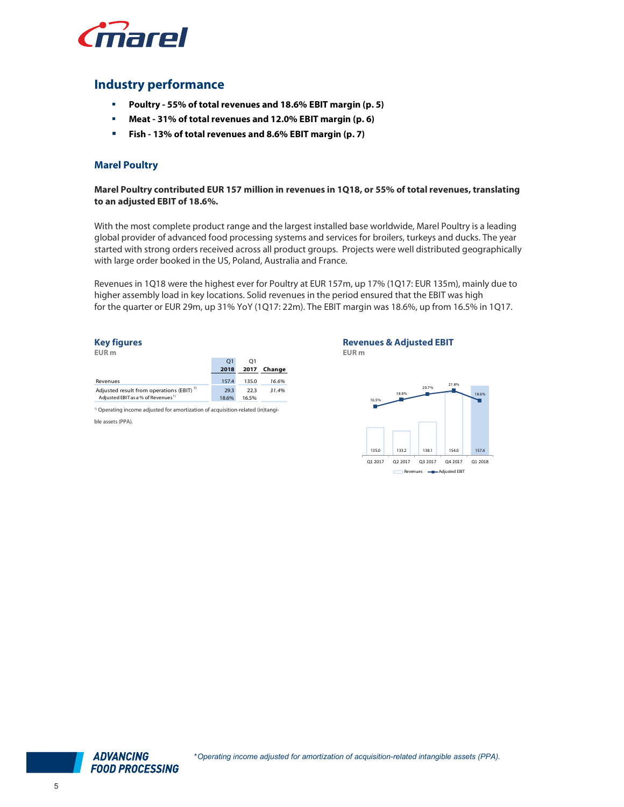

# Industry performance

- Poultry 55% of total revenues and 18.6% EBIT margin (p. 5)
- Meat 31% of total revenues and 12.0% EBIT margin (p. 6)
- Fish 13% of total revenues and 8.6% EBIT margin (p. 7)

#### Marel Poultry

Marel Poultry contributed EUR 157 million in revenues in 1Q18, or 55% of total revenues, translating to an adjusted EBIT of 18.6%.

With the most complete product range and the largest installed base worldwide, Marel Poultry is a leading global provider of advanced food processing systems and services for broilers, turkeys and ducks. The year started with strong orders received across all product groups. Projects were well distributed geographically with large order booked in the US, Poland, Australia and France.

Revenues in 1Q18 were the highest ever for Poultry at EUR 157m, up 17% (1Q17: EUR 135m), mainly due to higher assembly load in key locations. Solid revenues in the period ensured that the EBIT was high for the quarter or EUR 29m, up 31% YoY (1Q17: 22m). The EBIT margin was 18.6%, up from 16.5% in 1Q17. processing systems and services for broilers, tu<br>
d across all product groups. Projects were wel<br>
5, Poland, Australia and France.<br>
est ever for Poultry at EUR 157m, up 17% (1Q17:<br>
ions. Solid revenues in the period ensure EUR m<br>
Adjusted feat list of orcestion and product groups. Projects were well dis<br>
Adjusted in the US, Poland, Australia and France.<br>
Revenues in 1Q18 were the highest ever for Poultry at EUR 157m, up 17% (1Q17: EU<br>
higher Revenues in 1Q18 were the highest ever for Poultry at EUR 157m, up 17% (1Q1<br>higher assembly load in key locations. Solid revenues in the period ensured that<br>for the quarter or EUR 29m, up 31% YoY (1Q17: 22m). The EBIT marg

#### Key figures

| O1<br>O1<br>2017<br>Change<br>2018<br>157.4<br>135.0<br>16.6%<br>Revenues<br>Adjusted result from operations (EBIT) <sup>1)</sup><br>29.3<br>22.3<br>31.4%<br>Adjusted EBIT as a % of Revenues <sup>1)</sup><br>18.6%<br>16.5% | EUR <sub>m</sub> |  |  |
|--------------------------------------------------------------------------------------------------------------------------------------------------------------------------------------------------------------------------------|------------------|--|--|
|                                                                                                                                                                                                                                |                  |  |  |
|                                                                                                                                                                                                                                |                  |  |  |
|                                                                                                                                                                                                                                |                  |  |  |
|                                                                                                                                                                                                                                |                  |  |  |
|                                                                                                                                                                                                                                |                  |  |  |

<sup>1)</sup> Operating income adjusted for amortization of acquisition-related (in)tangible assets (PPA).

## Revenues & Adjusted EBIT

EUR m



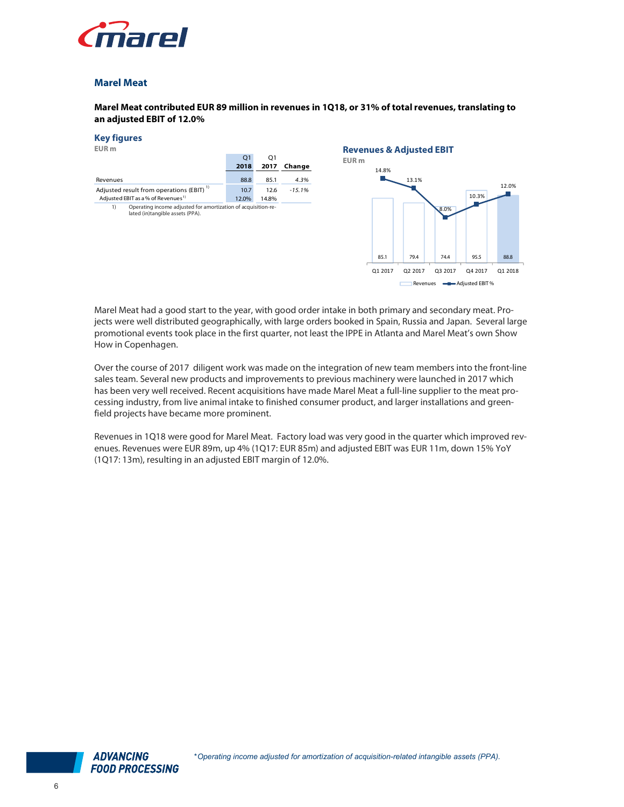

#### Marel Meat

#### Marel Meat contributed EUR 89 million in revenues in 1Q18, or 31% of total revenues, translating to an adjusted EBIT of 12.0%

| <b>Marel Meat</b>                                                                                                                                         |              |              |                  |                                                                  |         |                            |               |         |
|-----------------------------------------------------------------------------------------------------------------------------------------------------------|--------------|--------------|------------------|------------------------------------------------------------------|---------|----------------------------|---------------|---------|
| Marel Meat contributed EUR 89 million in revenues in 1Q18, or 31% of total revenues, translating to<br>an adjusted EBIT of 12.0%                          |              |              |                  |                                                                  |         |                            |               |         |
| <b>Key figures</b><br>EUR <sub>m</sub>                                                                                                                    | Q1<br>2018   | Q1           | 2017 Change      | <b>Revenues &amp; Adjusted EBIT</b><br>EUR <sub>m</sub><br>14.8% |         |                            |               |         |
| Revenues<br>Adjusted result from operations (EBIT) <sup>1)</sup>                                                                                          | 88.8<br>10.7 | 85.1<br>12.6 | 4.3%<br>$-15.1%$ |                                                                  | 13.1%   |                            |               | 12.0%   |
| Adjusted EBIT as a % of Revenues <sup>1)</sup><br>Operating income adjusted for amortization of acquisition-re-<br>1)<br>lated (in)tangible assets (PPA). | 12.0%        | 14.8%        |                  | 85.1                                                             | 79.4    | 8.0%<br>74.4               | 10.3%<br>95.5 | 88.8    |
|                                                                                                                                                           |              |              |                  | Q1 2017                                                          | Q2 2017 | Q3 2017                    | Q4 2017       | Q1 2018 |
|                                                                                                                                                           |              |              |                  |                                                                  |         | Revenues - Adjusted EBIT % |               |         |

Marel Meat had a good start to the year, with good order intake in both primary and secondary meat. Projects were well distributed geographically, with large orders booked in Spain, Russia and Japan. Several large promotional events took place in the first quarter, not least the IPPE in Atlanta and Marel Meat's own Show How in Copenhagen.

Over the course of 2017 diligent work was made on the integration of new team members into the front-line sales team. Several new products and improvements to previous machinery were launched in 2017 which has been very well received. Recent acquisitions have made Marel Meat a full-line supplier to the meat processing industry, from live animal intake to finished consumer product, and larger installations and greenfield projects have became more prominent.

Revenues in 1Q18 were good for Marel Meat. Factory load was very good in the quarter which improved revenues. Revenues were EUR 89m, up 4% (1Q17: EUR 85m) and adjusted EBIT was EUR 11m, down 15% YoY (1Q17: 13m), resulting in an adjusted EBIT margin of 12.0%.

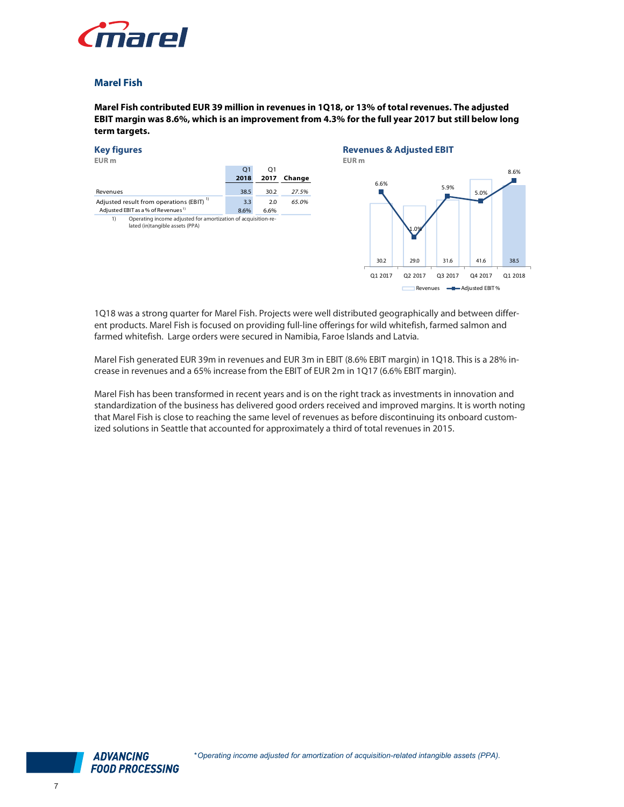

### Marel Fish

Marel Fish contributed EUR 39 million in revenues in 1Q18, or 13% of total revenues. The adjusted EBIT margin was 8.6%, which is an improvement from 4.3% for the full year 2017 but still below long term targets.



1Q18 was a strong quarter for Marel Fish. Projects were well distributed geographically and between different products. Marel Fish is focused on providing full-line offerings for wild whitefish, farmed salmon and farmed whitefish. Large orders were secured in Namibia, Faroe Islands and Latvia.

Marel Fish generated EUR 39m in revenues and EUR 3m in EBIT (8.6% EBIT margin) in 1Q18. This is a 28% increase in revenues and a 65% increase from the EBIT of EUR 2m in 1Q17 (6.6% EBIT margin).

Marel Fish has been transformed in recent years and is on the right track as investments in innovation and standardization of the business has delivered good orders received and improved margins. It is worth noting that Marel Fish is close to reaching the same level of revenues as before discontinuing its onboard customized solutions in Seattle that accounted for approximately a third of total revenues in 2015.

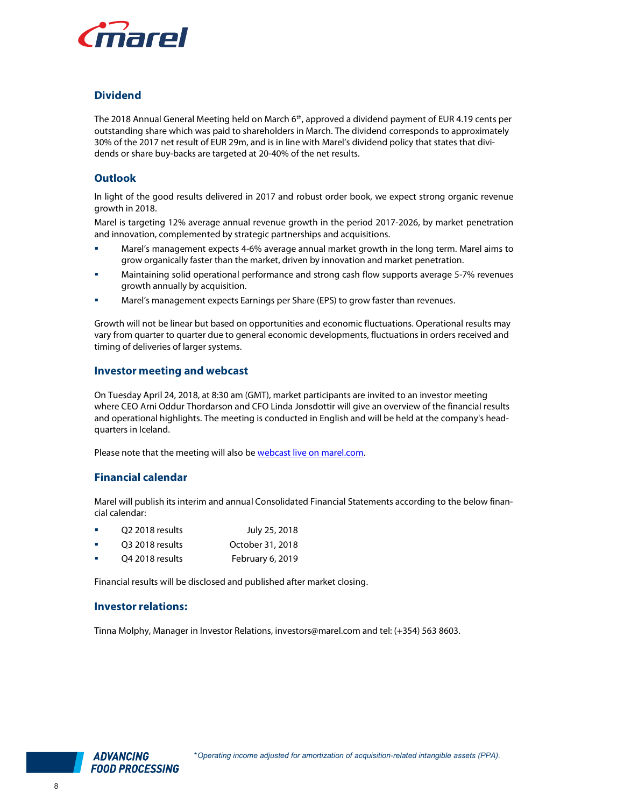

# **Dividend**

The 2018 Annual General Meeting held on March 6<sup>th</sup>, approved a dividend payment of EUR 4.19 cents per outstanding share which was paid to shareholders in March. The dividend corresponds to approximately 30% of the 2017 net result of EUR 29m, and is in line with Marel's dividend policy that states that dividends or share buy-backs are targeted at 20-40% of the net results.

# **Outlook**

In light of the good results delivered in 2017 and robust order book, we expect strong organic revenue growth in 2018.

Marel is targeting 12% average annual revenue growth in the period 2017-2026, by market penetration and innovation, complemented by strategic partnerships and acquisitions.

- Marel's management expects 4-6% average annual market growth in the long term. Marel aims to grow organically faster than the market, driven by innovation and market penetration.
- Maintaining solid operational performance and strong cash flow supports average 5-7% revenues growth annually by acquisition.
- Marel's management expects Earnings per Share (EPS) to grow faster than revenues.

Growth will not be linear but based on opportunities and economic fluctuations. Operational results may vary from quarter to quarter due to general economic developments, fluctuations in orders received and timing of deliveries of larger systems.

#### Investor meeting and webcast

On Tuesday April 24, 2018, at 8:30 am (GMT), market participants are invited to an investor meeting where CEO Arni Oddur Thordarson and CFO Linda Jonsdottir will give an overview of the financial results and operational highlights. The meeting is conducted in English and will be held at the company's headquarters in Iceland.

Please note that the meeting will also be webcast live on marel.com.

### Financial calendar

Marel will publish its interim and annual Consolidated Financial Statements according to the below financial calendar:

- Q2 2018 results July 25, 2018
- Q3 2018 results October 31, 2018
- Q4 2018 results February 6, 2019

Financial results will be disclosed and published after market closing.

#### Investor relations:

Tinna Molphy, Manager in Investor Relations, investors@marel.com and tel: (+354) 563 8603.